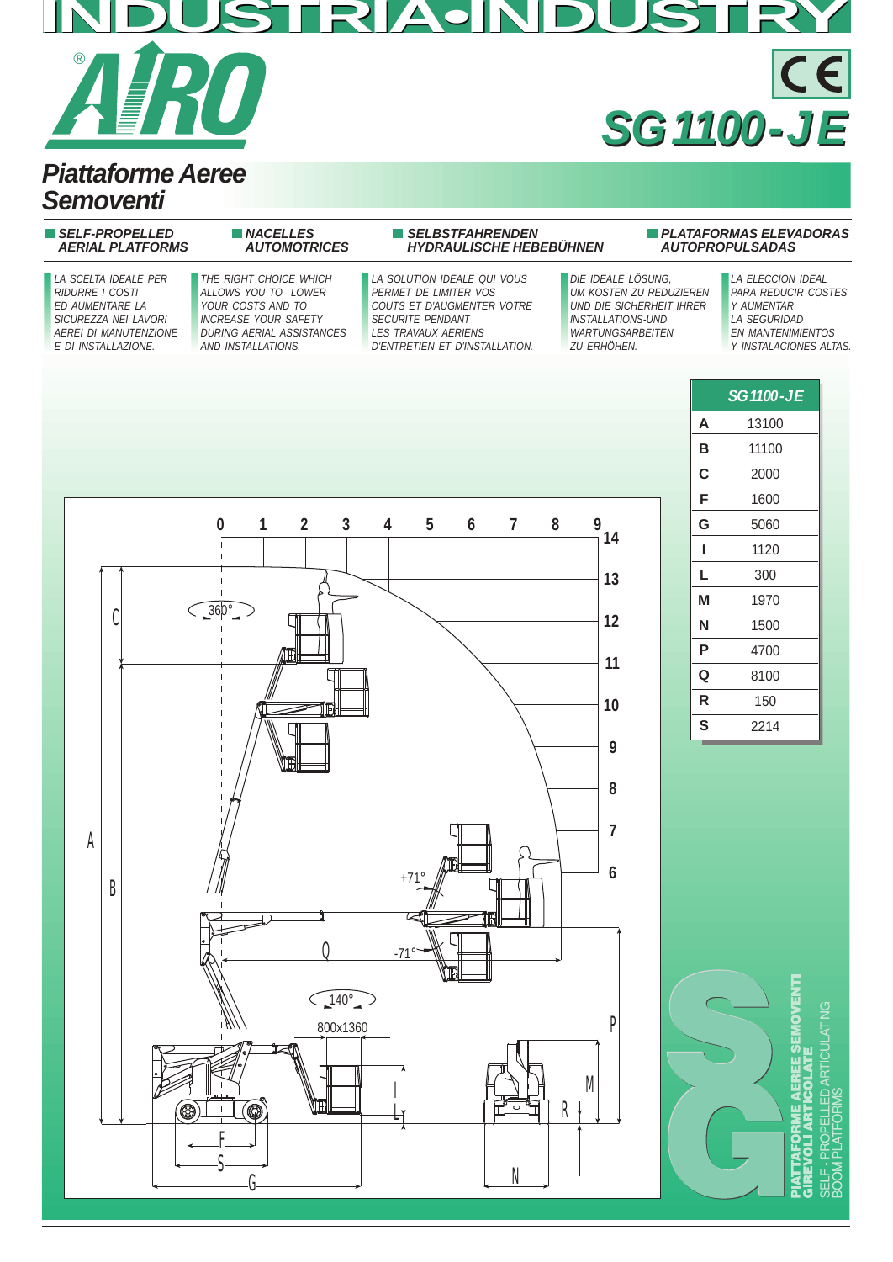## **INDUSTRIA•INDUSTRY** ® CE **SG 1100 - J E SG 1100 - J E**

### **Piattaforme Aeree Semoventi**